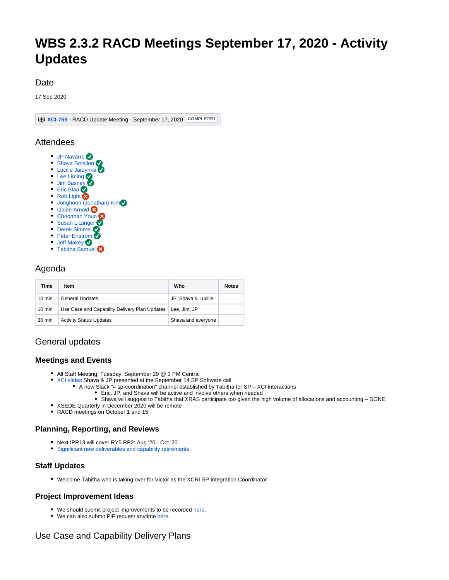# **WBS 2.3.2 RACD Meetings September 17, 2020 - Activity Updates**

#### Date

17 Sep 2020

**[XCI-769](https://jira.xsede.org/browse/XCI-769)** - RACD Update Meeting - September 17, 2020 COMPLETED

#### Attendees

- [JP Navarro](https://confluence.xsede.org/display/~navarro)
- [Shava Smallen](https://confluence.xsede.org/display/~ssmallen)
- [Lucille Jarzynka](https://confluence.xsede.org/display/~jarzynka) • [Lee Liming](https://confluence.xsede.org/display/~liming)
- [Jim Basney](https://confluence.xsede.org/display/~jbasney)
- [Eric Blau](https://confluence.xsede.org/display/~eblau)
- [Rob Light](https://confluence.xsede.org/display/~light)
- [Jonghoon \(Jonathan\) Kim](https://confluence.xsede.org/display/~jkm)
- **[Galen Arnold](https://confluence.xsede.org/display/~arnoldg) &**
- [Choonhan Youn](https://confluence.xsede.org/display/~cyoun)
- **[Susan Litzinger](https://confluence.xsede.org/display/~slitzing)**
- [Derek Simmel](https://confluence.xsede.org/display/~dsimmel) • [Peter Enstrom](https://confluence.xsede.org/display/~enstrom)
- [Jeff Makey](https://confluence.xsede.org/display/~jdmakey)
- [Tabitha Samuel](https://confluence.xsede.org/display/~tsamuel)

## Agenda

| Time             | Item                                          | Who                 | <b>Notes</b> |
|------------------|-----------------------------------------------|---------------------|--------------|
| $10 \text{ min}$ | <b>General Updates</b>                        | JP, Shava & Lucille |              |
| $10 \text{ min}$ | Use Case and Capability Delivery Plan Updates | Lee, Jim, JP        |              |
| 30 min           | <b>Activity Status Updates</b>                | Shava and everyone  |              |

# General updates

#### **Meetings and Events**

- All Staff Meeting, Tuesday, September 29 @ 3 PM Central
- [XCI slides](https://docs.google.com/presentation/d/1UiznpFYtpztdXnboU4J-UJ8bkKQudM9d_CBncCvPocM) Shava & JP presented at the September 14 SP Software call
	- A new Slack "# sp-coordination" channel established by Tabitha for SP XCI interactions Eric, JP, and Shava will be active and involve others when needed
		- Shava will suggest to Tabitha that XRAS participate too given the high volume of allocations and accounting DONE.
- XSEDE Quarterly in December 2020 will be remote
- RACD meetings on October 1 and 15

#### **Planning, Reporting, and Reviews**

- Next IPR13 will cover RY5 RP2: Aug '20 Oct '20
- [Significant new deliverables and capability retirements](https://confluence.xsede.org/pages/viewpage.action?pageId=1671340)

#### **Staff Updates**

Welcome Tabitha who is taking over for Victor as the XCRI SP Integration Coordinator

#### **Project Improvement Ideas**

- We should submit project improvements to be recorded [here.](https://docs.google.com/spreadsheets/d/19YRAPeAForh5I9Xvhj8nKjROe3-JN7a1caLYbNamPaw/edit#gid=0)
- We can also submit PIF request anytime [here.](https://confluence.xsede.org/pages/viewpage.action?pageId=1676576)

## Use Case and Capability Delivery Plans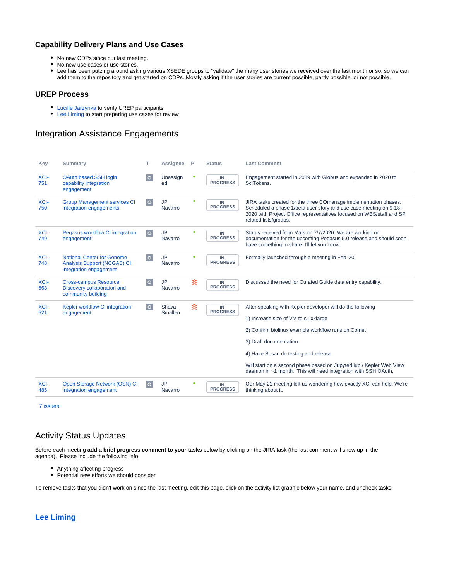#### **Capability Delivery Plans and Use Cases**

- No new CDPs since our last meeting.
- No new use cases or use stories.
- Lee has been putzing around asking various XSEDE groups to "validate" the many user stories we received over the last month or so, so we can add them to the repository and get started on CDPs. Mostly asking if the user stories are current possible, partly possible, or not possible.

#### **UREP Process**

- [Lucille Jarzynka](https://confluence.xsede.org/display/~jarzynka) to verify UREP participants
- [Lee Liming](https://confluence.xsede.org/display/~liming) to start preparing use cases for review

## Integration Assistance Engagements

| Key         | <b>Summary</b>                                                                                    | т       | Assignee                | P | <b>Status</b>         | <b>Last Comment</b>                                                                                                                                                                                                                                                                                                                                                |
|-------------|---------------------------------------------------------------------------------------------------|---------|-------------------------|---|-----------------------|--------------------------------------------------------------------------------------------------------------------------------------------------------------------------------------------------------------------------------------------------------------------------------------------------------------------------------------------------------------------|
| XCI-<br>751 | <b>OAuth based SSH login</b><br>capability integration<br>engagement                              | $\circ$ | Unassign<br>ed          | ۰ | IN<br><b>PROGRESS</b> | Engagement started in 2019 with Globus and expanded in 2020 to<br>SciTokens.                                                                                                                                                                                                                                                                                       |
| XCI-<br>750 | <b>Group Management services CI</b><br>integration engagements                                    | $\circ$ | <b>JP</b><br>Navarro    | ٠ | IN<br><b>PROGRESS</b> | JIRA tasks created for the three COmanage implementation phases.<br>Scheduled a phase 1/beta user story and use case meeting on 9-18-<br>2020 with Project Office representatives focused on WBS/staff and SP<br>related lists/groups.                                                                                                                             |
| XCI-<br>749 | Pegasus workflow CI integration<br>engagement                                                     | $\circ$ | <b>JP</b><br>Navarro    | ۰ | IN<br><b>PROGRESS</b> | Status received from Mats on 7/7/2020: We are working on<br>documentation for the upcoming Pegasus 5.0 release and should soon<br>have something to share. I'll let you know.                                                                                                                                                                                      |
| XCI-<br>748 | <b>National Center for Genome</b><br><b>Analysis Support (NCGAS) CI</b><br>integration engagement | $\circ$ | <b>JP</b><br>Navarro    | ۰ | IN<br><b>PROGRESS</b> | Formally launched through a meeting in Feb '20.                                                                                                                                                                                                                                                                                                                    |
| XCI-<br>663 | <b>Cross-campus Resource</b><br>Discovery collaboration and<br>community building                 | $\circ$ | <b>JP</b><br>Navarro    | 《 | IN<br><b>PROGRESS</b> | Discussed the need for Curated Guide data entry capability.                                                                                                                                                                                                                                                                                                        |
| XCI-<br>521 | Kepler workflow CI integration<br>engagement                                                      | $\circ$ | Shava<br><b>Smallen</b> | 《 | IN<br><b>PROGRESS</b> | After speaking with Kepler developer will do the following<br>1) Increase size of VM to s1.xxlarge<br>2) Confirm biolinux example workflow runs on Comet<br>3) Draft documentation<br>4) Have Susan do testing and release<br>Will start on a second phase based on JupyterHub / Kepler Web View<br>daemon in ~1 month. This will need integration with SSH OAuth. |
| XCI-<br>485 | Open Storage Network (OSN) CI<br>integration engagement                                           | $\circ$ | <b>JP</b><br>Navarro    |   | IN<br><b>PROGRESS</b> | Our May 21 meeting left us wondering how exactly XCI can help. We're<br>thinking about it.                                                                                                                                                                                                                                                                         |

[7 issues](https://jira.xsede.org/secure/IssueNavigator.jspa?reset=true&jqlQuery=issuetype+%3D+%22XCI+Integration+Assistance+Engagement%22+and+status+not+in+%28Closed%2C+Backlog%29++&src=confmacro)

## Activity Status Updates

Before each meeting **add a brief progress comment to your tasks** below by clicking on the JIRA task (the last comment will show up in the agenda). Please include the following info:

- Anything affecting progress
- Potential new efforts we should consider

To remove tasks that you didn't work on since the last meeting, edit this page, click on the activity list graphic below your name, and uncheck tasks.

## **[Lee Liming](https://confluence.xsede.org/display/~liming)**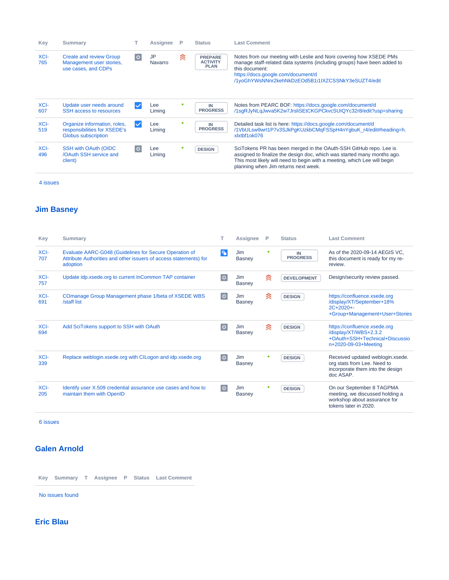| Key         | <b>Summary</b>                                                                      |              | Assignee      | P | <b>Status</b>                                    | <b>Last Comment</b>                                                                                                                                                                                                                                              |
|-------------|-------------------------------------------------------------------------------------|--------------|---------------|---|--------------------------------------------------|------------------------------------------------------------------------------------------------------------------------------------------------------------------------------------------------------------------------------------------------------------------|
| XCI-<br>765 | <b>Create and review Group</b><br>Management user stories,<br>use cases, and CDPs   | $\circ$      | JP<br>Navarro | ≋ | <b>PREPARE</b><br><b>ACTIVITY</b><br><b>PLAN</b> | Notes from our meeting with Leslie and Noni covering how XSEDE PMs<br>manage staff-related data systems (including groups) have been added to<br>this document:<br>https://docs.google.com/document/d<br>/1yoGhYWsNNnr2kehNkDzEOd5B1i1IXZCSSNkY3eSUZT4/edit      |
| XCI-<br>607 | Update user needs around<br>SSH access to resources                                 | $\checkmark$ | Lee<br>Liming |   | IN<br><b>PROGRESS</b>                            | Notes from PEARC BOF: https://docs.google.com/document/d<br>/1sqRJyNLqJwva5K2w7JrsliSEtCKGPCkvcSUIQYc32r8/edit?usp=sharing                                                                                                                                       |
| XCI-<br>519 | Organize information, roles,<br>responsibilities for XSEDE's<br>Globus subscription | $\checkmark$ | Lee<br>Liming |   | IN<br><b>PROGRESS</b>                            | Detailed task list is here: https://docs.google.com/document/d<br>/1VbULsw9wrl1P7v3SJkPqKUzkbCMqFSSpH4nYqbuK r4/edit#heading=h.<br>xlxtbf1ok076                                                                                                                  |
| XCI-<br>496 | SSH with OAuth (OIDC<br>/OAuth SSH service and<br>client)                           | $\circ$      | Lee<br>Liming |   | <b>DESIGN</b>                                    | SciTokens PR has been merged in the OAuth-SSH GitHub repo. Lee is<br>assigned to finalize the design doc, which was started many months ago.<br>This most likely will need to begin with a meeting, which Lee will begin<br>planning when Jim returns next week. |

### **[Jim Basney](https://confluence.xsede.org/display/~jbasney)**

| Key         | <b>Summary</b>                                                                                                                          |         | Assignee             | P | <b>Status</b>         | <b>Last Comment</b>                                                                                                   |
|-------------|-----------------------------------------------------------------------------------------------------------------------------------------|---------|----------------------|---|-----------------------|-----------------------------------------------------------------------------------------------------------------------|
| XCI-<br>707 | Evaluate AARC-G048 (Guidelines for Secure Operation of<br>Attribute Authorities and other issuers of access statements) for<br>adoption | q,      | Jim<br><b>Basney</b> |   | IN<br><b>PROGRESS</b> | As of the 2020-09-14 AEGIS VC.<br>this document is ready for my re-<br>review.                                        |
| XCI-<br>757 | Update idp.xsede.org to current InCommon TAP container                                                                                  | $\circ$ | Jim<br><b>Basney</b> | ଛ | <b>DEVELOPMENT</b>    | Design/security review passed.                                                                                        |
| XCI-<br>691 | COmanage Group Management phase 1/beta of XSEDE WBS<br>/staff list                                                                      | $\circ$ | Jim<br><b>Basney</b> | ଛ | <b>DESIGN</b>         | https://confluence.xsede.org<br>/display/XT/September+18%<br>$2C+2020+$<br>+Group+Management+User+Stories             |
| XCI-<br>694 | Add SciTokens support to SSH with OAuth                                                                                                 | $\circ$ | Jim<br><b>Basney</b> | 衾 | <b>DESIGN</b>         | https://confluence.xsede.org<br>/display/XT/WBS+2.3.2<br>+OAuth+SSH+Technical+Discussio<br>n+2020-09-03+Meeting       |
| XCI-<br>339 | Replace weblogin.xsede.org with CILogon and idp.xsede.org                                                                               | $\circ$ | Jim<br><b>Basney</b> | ۰ | <b>DESIGN</b>         | Received updated weblogin.xsede.<br>org stats from Lee. Need to<br>incorporate them into the design<br>doc ASAP.      |
| XCI-<br>205 | Identify user X.509 credential assurance use cases and how to<br>maintain them with OpenID                                              | $\circ$ | Jim<br>Basney        |   | <b>DESIGN</b>         | On our September 8 TAGPMA<br>meeting, we discussed holding a<br>workshop about assurance for<br>tokens later in 2020. |

[6 issues](https://jira.xsede.org/secure/IssueNavigator.jspa?reset=true&jqlQuery=filter%3D12900+and+%28%22Activity+Lead%22+%3D+jbasney+or++assignee+%3D+jbasney+or+Testers+%3D+jbasney%29+order+by+status+&src=confmacro)

## **[Galen Arnold](https://confluence.xsede.org/display/~arnoldg)**

**Key Summary T Assignee P Status Last Comment**

[No issues found](https://jira.xsede.org/secure/IssueNavigator.jspa?reset=true&jqlQuery=filter%3D12900+and+%28%22Activity+Lead%22+%3D+arnoldg+or++assignee+%3D+arnoldg+or+Testers+%3D+arnoldg%29+order+by+status+&src=confmacro)

**[Eric Blau](https://confluence.xsede.org/display/~eblau)**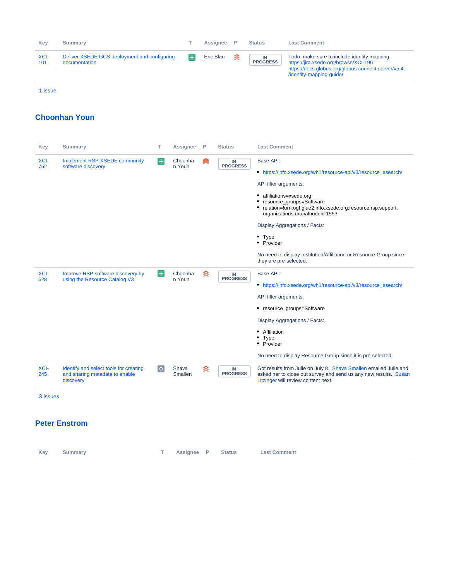| Kev         | <b>Summary</b>                                                |        | Assignee  | P. | <b>Status</b>         | <b>Last Comment</b>                                                                                                                                                    |
|-------------|---------------------------------------------------------------|--------|-----------|----|-----------------------|------------------------------------------------------------------------------------------------------------------------------------------------------------------------|
| XCI-<br>101 | Deliver XSEDE GCS deployment and configuring<br>documentation | $\div$ | Eric Blau | ≋  | IN<br><b>PROGRESS</b> | Todo: make sure to include identity mapping<br>https://jira.xsede.org/browse/XCI-196<br>https://docs.globus.org/globus-connect-server/v5.4<br>/identity-mapping-quide/ |
| 1 issue     |                                                               |        |           |    |                       |                                                                                                                                                                        |

#### **[Choonhan Youn](https://confluence.xsede.org/display/~cyoun)**

| Key         | <b>Summary</b>                                                                        | т       | <b>Assignee</b>   | P | <b>Status</b>               | <b>Last Comment</b>                                                                                                                                                                                                                                                                                                                                                                                                          |
|-------------|---------------------------------------------------------------------------------------|---------|-------------------|---|-----------------------------|------------------------------------------------------------------------------------------------------------------------------------------------------------------------------------------------------------------------------------------------------------------------------------------------------------------------------------------------------------------------------------------------------------------------------|
| XCI-<br>752 | <b>Implement RSP XSEDE community</b><br>software discovery                            | $\pm$   | Choonha<br>n Youn |   | $\sf IN$<br><b>PROGRESS</b> | Base API:<br>• https://info.xsede.org/wh1/resource-api/v3/resource_esearch/<br>API filter arguments:<br>• affiliations=xsede.org<br>resource_groups=Software<br>• relation=!urn:ogf:glue2:info.xsede.org:resource:rsp:support.<br>organizations:drupalnodeid:1553<br>Display Aggregations / Facts:<br>$•$ Type<br>• Provider<br>No need to display Institution/Affiliation or Resource Group since<br>they are pre-selected. |
| XCI-<br>628 | Improve RSP software discovery by<br>using the Resource Catalog V3                    | $\pm$   | Choonha<br>n Youn | 《 | IN<br><b>PROGRESS</b>       | Base API:<br>• https://info.xsede.org/wh1/resource-api/v3/resource_esearch/<br>API filter arguments:<br>• resource groups=Software<br>Display Aggregations / Facts:<br>• Affiliation<br>$•$ Type<br>• Provider<br>No need to display Resource Group since it is pre-selected.                                                                                                                                                |
| XCI-<br>245 | Identify and select tools for creating<br>and sharing metadata to enable<br>discovery | $\circ$ | Shava<br>Smallen  | ≋ | IN<br><b>PROGRESS</b>       | Got results from Julie on July 8. Shava Smallen emailed Julie and<br>asked her to close out survey and send us any new results. Susan<br>Litzinger will review content next.                                                                                                                                                                                                                                                 |
| 3 issues    |                                                                                       |         |                   |   |                             |                                                                                                                                                                                                                                                                                                                                                                                                                              |

#### **[Peter Enstrom](https://confluence.xsede.org/display/~enstrom)**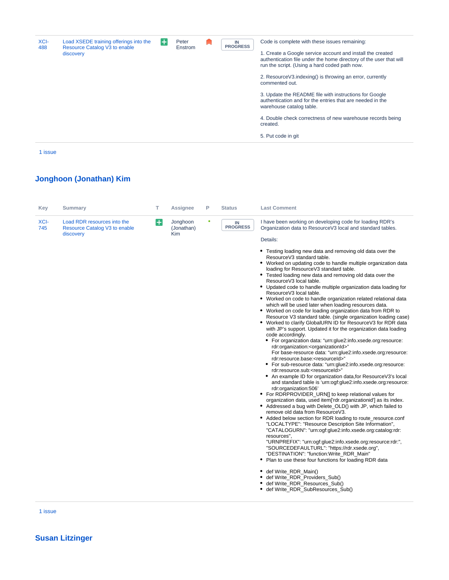| XCI-<br>488 | Load XSEDE training offerings into the<br>Resource Catalog V3 to enable<br>discovery | ╊ | Peter<br>Enstrom |  | IN<br><b>PROGRESS</b> | Code is complete with these issues remaining:<br>1. Create a Google service account and install the created<br>authentication file under the home directory of the user that will<br>run the script. (Using a hard coded path now.<br>2. ResourceV3.indexing() is throwing an error, currently<br>commented out.<br>3. Update the README file with instructions for Google<br>authentication and for the entries that are needed in the<br>warehouse catalog table.<br>4. Double check correctness of new warehouse records being<br>created.<br>5. Put code in git |
|-------------|--------------------------------------------------------------------------------------|---|------------------|--|-----------------------|---------------------------------------------------------------------------------------------------------------------------------------------------------------------------------------------------------------------------------------------------------------------------------------------------------------------------------------------------------------------------------------------------------------------------------------------------------------------------------------------------------------------------------------------------------------------|
|-------------|--------------------------------------------------------------------------------------|---|------------------|--|-----------------------|---------------------------------------------------------------------------------------------------------------------------------------------------------------------------------------------------------------------------------------------------------------------------------------------------------------------------------------------------------------------------------------------------------------------------------------------------------------------------------------------------------------------------------------------------------------------|

# **[Jonghoon \(Jonathan\) Kim](https://confluence.xsede.org/display/~jkm)**

| Key         | <b>Summary</b>                                                            | т                  | <b>Assignee</b>                      | P | <b>Status</b>               | <b>Last Comment</b>                                                                                                                                                                                                                                                                                                                                                                                                                                                                                                                                                                                                                                                                                                                                                                                                                                                                                                                                                                                                                                                                                                                                                                                                                                                                                                                                                                                                                                                                                                                                                                                                                                                                                                                                                                                                                                                                                                                                                                                                                                                                                                                                 |
|-------------|---------------------------------------------------------------------------|--------------------|--------------------------------------|---|-----------------------------|-----------------------------------------------------------------------------------------------------------------------------------------------------------------------------------------------------------------------------------------------------------------------------------------------------------------------------------------------------------------------------------------------------------------------------------------------------------------------------------------------------------------------------------------------------------------------------------------------------------------------------------------------------------------------------------------------------------------------------------------------------------------------------------------------------------------------------------------------------------------------------------------------------------------------------------------------------------------------------------------------------------------------------------------------------------------------------------------------------------------------------------------------------------------------------------------------------------------------------------------------------------------------------------------------------------------------------------------------------------------------------------------------------------------------------------------------------------------------------------------------------------------------------------------------------------------------------------------------------------------------------------------------------------------------------------------------------------------------------------------------------------------------------------------------------------------------------------------------------------------------------------------------------------------------------------------------------------------------------------------------------------------------------------------------------------------------------------------------------------------------------------------------------|
| XCI-<br>745 | Load RDR resources into the<br>Resource Catalog V3 to enable<br>discovery | $\left  + \right $ | Jonghoon<br>(Jonathan)<br><b>Kim</b> | ۰ | $\sf IN$<br><b>PROGRESS</b> | I have been working on developing code for loading RDR's<br>Organization data to ResourceV3 local and standard tables.<br>Details:                                                                                                                                                                                                                                                                                                                                                                                                                                                                                                                                                                                                                                                                                                                                                                                                                                                                                                                                                                                                                                                                                                                                                                                                                                                                                                                                                                                                                                                                                                                                                                                                                                                                                                                                                                                                                                                                                                                                                                                                                  |
|             |                                                                           |                    |                                      |   |                             | • Testing loading new data and removing old data over the<br>ResourceV3 standard table.<br>• Worked on updating code to handle multiple organization data<br>loading for ResourceV3 standard table.<br>• Tested loading new data and removing old data over the<br>ResourceV3 local table.<br>• Updated code to handle multiple organization data loading for<br>ResourceV3 local table.<br>• Worked on code to handle organization related relational data<br>which will be used later when loading resources data.<br>• Worked on code for loading organization data from RDR to<br>Resource V3 standard table. (single organization loading case)<br>. Worked to clarify GlobalURN ID for ResourceV3 for RDR data<br>with JP's support. Updated it for the organization data loading<br>code accordingly.<br>• For organization data: "urn:glue2:info.xsede.org:resource:<br>rdr:organization: <organizationid>"<br/>For base-resource data: "urn:glue2:info.xsede.org:resource:<br/>rdr:resource.base:<resourceid>"<br/>• For sub-resource data: "urn:glue2:info.xsede.org:resource:<br/>rdr:resource.sub:<resourceid>"<br/>• An example ID for organization data, for ResourceV3's local<br/>and standard table is 'urn:ogf:glue2:info.xsede.org:resource:<br/>rdr:organization:506'<br/>• For RDRPROVIDER_URN[] to keep relational values for<br/>organization data, used item['rdr.organizationid'] as its index.<br/>• Addressed a bug with Delete_OLD() with JP, which failed to<br/>remove old data from ResourceV3.<br/>• Added below section for RDR loading to route_resource.conf<br/>"LOCALTYPE": "Resource Description Site Information",<br/>"CATALOGURN": "urn:ogf:glue2:info.xsede.org:catalog:rdr:<br/>resources".<br/>"URNPREFIX": "urn:ogf:glue2:info.xsede.org:resource:rdr:",<br/>"SOURCEDEFAULTURL": "https://rdr.xsede.org",<br/>"DESTINATION": "function: Write RDR Main"<br/>• Plan to use these four functions for loading RDR data<br/>• def Write_RDR_Main()<br/>def Write_RDR_Providers_Sub()<br/>• def Write RDR Resources Sub()<br/>• def Write_RDR_SubResources_Sub()</resourceid></resourceid></organizationid> |

[1 issue](https://jira.xsede.org/secure/IssueNavigator.jspa?reset=true&jqlQuery=filter%3D12900+and+%28%22Activity+Lead%22+%3D+jkm+or++assignee+%3D+jkm+or+Testers+%3D+jkm%29+order+by+status++&src=confmacro)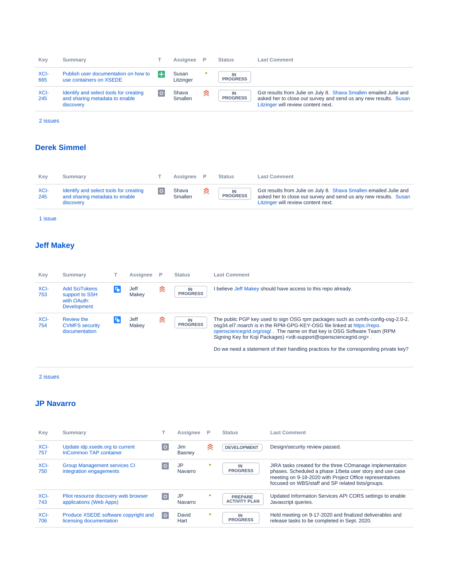| Key         | <b>Summary</b>                                                                        | Assignee                | P | <b>Status</b>         | <b>Last Comment</b>                                                                                                                                                          |
|-------------|---------------------------------------------------------------------------------------|-------------------------|---|-----------------------|------------------------------------------------------------------------------------------------------------------------------------------------------------------------------|
| XCI-<br>665 | Publish user documentation on how to<br>use containers on XSEDE                       | Susan<br>Litzinger      |   | <b>PROGRESS</b>       |                                                                                                                                                                              |
| XCI-<br>245 | Identify and select tools for creating<br>and sharing metadata to enable<br>discovery | Shava<br><b>Smallen</b> | ≋ | IN<br><b>PROGRESS</b> | Got results from Julie on July 8. Shava Smallen emailed Julie and<br>asked her to close out survey and send us any new results. Susan<br>Litzinger will review content next. |

# **[Derek Simmel](https://confluence.xsede.org/display/~dsimmel)**

| Kev         | Summarv                                                                               | Assignee                |   | Status                | <b>Last Comment</b>                                                                                                                                                          |
|-------------|---------------------------------------------------------------------------------------|-------------------------|---|-----------------------|------------------------------------------------------------------------------------------------------------------------------------------------------------------------------|
| XCI-<br>245 | Identify and select tools for creating<br>and sharing metadata to enable<br>discovery | Shava<br><b>Smallen</b> | ≋ | IN<br><b>PROGRESS</b> | Got results from Julie on July 8. Shava Smallen emailed Julie and<br>asked her to close out survey and send us any new results. Susan<br>Litzinger will review content next. |

[1 issue](https://jira.xsede.org/secure/IssueNavigator.jspa?reset=true&jqlQuery=filter%3D12900+and+%28%22Activity+Lead%22+%3D+dsimmel+or++assignee+%3D+dsimmel+or+Testers+%3D+dsimmel%29+order+by+status+&src=confmacro)

## **[Jeff Makey](https://confluence.xsede.org/display/~jdmakey)**

| Key         | <b>Summary</b>                                                       |    | Assignee      | P | <b>Status</b>         | <b>Last Comment</b>                                                                                                                                                                                                                                                                                                                                                                                                                       |
|-------------|----------------------------------------------------------------------|----|---------------|---|-----------------------|-------------------------------------------------------------------------------------------------------------------------------------------------------------------------------------------------------------------------------------------------------------------------------------------------------------------------------------------------------------------------------------------------------------------------------------------|
| XCI-<br>753 | <b>Add SciTokens</b><br>support to SSH<br>with OAuth:<br>Development | ъ, | Jeff<br>Makev | ଛ | IN<br><b>PROGRESS</b> | believe Jeff Makey should have access to this repo already.                                                                                                                                                                                                                                                                                                                                                                               |
| XCI-<br>754 | <b>Review the</b><br><b>CVMFS</b> security<br>documentation          | ٩, | Jeff<br>Makev | ≋ | IN<br><b>PROGRESS</b> | The public PGP key used to sign OSG rpm packages such as cymfs-config-osg-2.0-2.<br>osq34.el7.noarch is in the RPM-GPG-KEY-OSG file linked at https://repo.<br>opensciencegrid.org/osg/. The name on that key is OSG Software Team (RPM)<br>Signing Key for Koji Packages) <vdt-support@opensciencegrid.org>.<br/>Do we need a statement of their handling practices for the corresponding private key?</vdt-support@opensciencegrid.org> |

[2 issues](https://jira.xsede.org/secure/IssueNavigator.jspa?reset=true&jqlQuery=filter%3D12900+and+%28%22Activity+Lead%22+%3D+jdmakey+or++assignee+%3D+jdmakey+or+Testers+%3D+jdmakey%29+order+by+status++&src=confmacro)

#### **[JP Navarro](https://confluence.xsede.org/display/~navarro)**

| Key         | <b>Summary</b>                                                   |         | Assignee                    |   | <b>Status</b>                          | <b>Last Comment</b>                                                                                                                                                                                                                   |
|-------------|------------------------------------------------------------------|---------|-----------------------------|---|----------------------------------------|---------------------------------------------------------------------------------------------------------------------------------------------------------------------------------------------------------------------------------------|
| XCI-<br>757 | Update idp.xsede.org to current<br><b>InCommon TAP container</b> | $\circ$ | <b>Jim</b><br><b>Basney</b> | ≋ | <b>DEVELOPMENT</b>                     | Design/security review passed.                                                                                                                                                                                                        |
| XCI-<br>750 | <b>Group Management services CI</b><br>integration engagements   | $\circ$ | <b>JP</b><br>Navarro        |   | IN<br><b>PROGRESS</b>                  | JIRA tasks created for the three COmanage implementation<br>phases. Scheduled a phase 1/beta user story and use case<br>meeting on 9-18-2020 with Project Office representatives<br>focused on WBS/staff and SP related lists/groups. |
| XCI-<br>743 | Pilot resource discovery web browser<br>applications (Web Apps)  | $\circ$ | <b>JP</b><br>Navarro        |   | <b>PREPARE</b><br><b>ACTIVITY PLAN</b> | Updated Information Services API CORS settings to enable<br>Javascript queries.                                                                                                                                                       |
| XCI-<br>706 | Produce XSEDE software copyright and<br>licensing documentation  | $\circ$ | David<br>Hart               | œ | IN<br><b>PROGRESS</b>                  | Held meeting on 9-17-2020 and finalized deliverables and<br>release tasks to be completed in Sept. 2020.                                                                                                                              |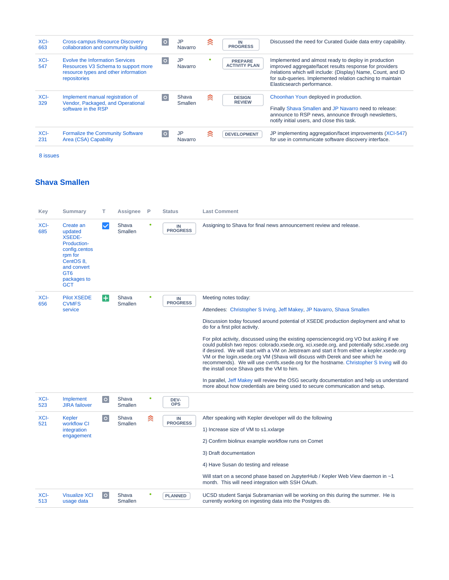| XCI-<br>663 | <b>Cross-campus Resource Discovery</b><br>collaboration and community building                                                 | $\circ$ | JP<br>Navarro        | ≋ | IN<br><b>PROGRESS</b>                  | Discussed the need for Curated Guide data entry capability.                                                                                                                                                                                                                |
|-------------|--------------------------------------------------------------------------------------------------------------------------------|---------|----------------------|---|----------------------------------------|----------------------------------------------------------------------------------------------------------------------------------------------------------------------------------------------------------------------------------------------------------------------------|
| XCI-<br>547 | Evolve the Information Services<br>Resources V3 Schema to support more<br>resource types and other information<br>repositories |         | <b>JP</b><br>Navarro |   | <b>PREPARE</b><br><b>ACTIVITY PLAN</b> | Implemented and almost ready to deploy in production<br>improved aggregate/facet results response for providers<br>/relations which will include: (Display) Name, Count, and ID<br>for sub-queries. Implemented relation caching to maintain<br>Elasticsearch performance. |
| XCI-<br>329 | Implement manual registration of<br>Vendor, Packaged, and Operational<br>software in the RSP                                   | $\circ$ | Shava<br>Smallen     | ≋ | <b>DESIGN</b><br><b>REVIEW</b>         | Choonhan Youn deployed in production.<br>Finally Shava Smallen and JP Navarro need to release:<br>announce to RSP news, announce through newsletters,<br>notify initial users, and close this task.                                                                        |
| XCI-<br>231 | <b>Formalize the Community Software</b><br>Area (CSA) Capability                                                               | $\circ$ | JP<br>Navarro        | ≋ | <b>DEVELOPMENT</b>                     | JP implementing aggregation/facet improvements (XCI-547)<br>for use in communicate software discovery interface.                                                                                                                                                           |

# **[Shava Smallen](https://confluence.xsede.org/display/~ssmallen)**

| Key         | <b>Summary</b>                                                                                                                                               | T.           | Assignee                | P | <b>Status</b>                 | <b>Last Comment</b>                                                                                                                                                                                                                                                                                                                                                                                                                                                                                                                                                                                                                                                                                                                                                                                                                                                                                                      |
|-------------|--------------------------------------------------------------------------------------------------------------------------------------------------------------|--------------|-------------------------|---|-------------------------------|--------------------------------------------------------------------------------------------------------------------------------------------------------------------------------------------------------------------------------------------------------------------------------------------------------------------------------------------------------------------------------------------------------------------------------------------------------------------------------------------------------------------------------------------------------------------------------------------------------------------------------------------------------------------------------------------------------------------------------------------------------------------------------------------------------------------------------------------------------------------------------------------------------------------------|
| XCI-<br>685 | Create an<br>updated<br><b>XSEDE-</b><br>Production-<br>config.centos<br>rpm for<br>CentOS 8,<br>and convert<br>GT <sub>6</sub><br>packages to<br><b>GCT</b> | $\checkmark$ | Shava<br>Smallen        |   | IN<br><b>PROGRESS</b>         | Assigning to Shava for final news announcement review and release.                                                                                                                                                                                                                                                                                                                                                                                                                                                                                                                                                                                                                                                                                                                                                                                                                                                       |
| XCI-<br>656 | <b>Pilot XSEDE</b><br><b>CVMFS</b><br>service                                                                                                                | $+$          | Shava<br>Smallen        |   | ${\sf IN}$<br><b>PROGRESS</b> | Meeting notes today:<br>Attendees: Christopher S Irving, Jeff Makey, JP Navarro, Shava Smallen<br>Discussion today focused around potential of XSEDE production deployment and what to<br>do for a first pilot activity.<br>For pilot activity, discussed using the existing opensciencegrid.org VO but asking if we<br>could publish two repos: colorado xsede.org, xci xsede.org, and potentially sdsc xsede.org<br>if desired. We will start with a VM on Jetstream and start it from either a kepler.xsede.org<br>VM or the login.xsede.org VM (Shava will discuss with Derek and see which he<br>recommends). We will use cvmfs.xsede.org for the hostname. Christopher S Irving will do<br>the install once Shava gets the VM to him.<br>In parallel, Jeff Makey will review the OSG security documentation and help us understand<br>more about how credentials are being used to secure communication and setup. |
| XCI-<br>523 | Implement<br><b>JIRA</b> failover                                                                                                                            | $\circ$      | Shava<br><b>Smallen</b> |   | DEV-<br><b>OPS</b>            |                                                                                                                                                                                                                                                                                                                                                                                                                                                                                                                                                                                                                                                                                                                                                                                                                                                                                                                          |
| XCI-<br>521 | Kepler<br>workflow CI<br>integration<br>engagement                                                                                                           | $\circ$      | Shava<br><b>Smallen</b> | ≋ | IN<br><b>PROGRESS</b>         | After speaking with Kepler developer will do the following<br>1) Increase size of VM to s1.xxlarge<br>2) Confirm biolinux example workflow runs on Comet<br>3) Draft documentation<br>4) Have Susan do testing and release<br>Will start on a second phase based on JupyterHub / Kepler Web View daemon in ~1<br>month. This will need integration with SSH OAuth.                                                                                                                                                                                                                                                                                                                                                                                                                                                                                                                                                       |
| XCI-<br>513 | <b>Visualize XCI</b><br>usage data                                                                                                                           | $\circ$      | Shava<br><b>Smallen</b> |   | <b>PLANNED</b>                | UCSD student Sanjai Subramanian will be working on this during the summer. He is<br>currently working on ingesting data into the Postgres db.                                                                                                                                                                                                                                                                                                                                                                                                                                                                                                                                                                                                                                                                                                                                                                            |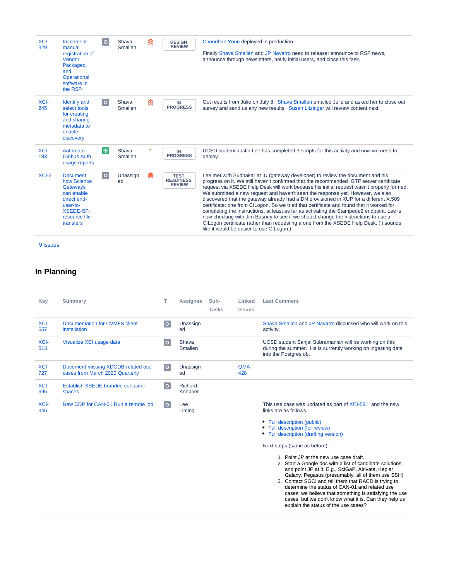| XCI-<br>329 | Implement<br>manual<br>registration of<br>Vendor,<br>Packaged,<br>and<br>Operational<br>software in<br>the RSP                        | $\circ$ | Shava<br>Smallen | ≳ | <b>DESIGN</b><br><b>REVIEW</b>                   | Choonhan Youn deployed in production.<br>Finally Shava Smallen and JP Navarro need to release: announce to RSP news,<br>announce through newsletters, notify initial users, and close this task.                                                                                                                                                                                                                                                                                                                                                                                                                                                                                                                                                                                                                                                                     |
|-------------|---------------------------------------------------------------------------------------------------------------------------------------|---------|------------------|---|--------------------------------------------------|----------------------------------------------------------------------------------------------------------------------------------------------------------------------------------------------------------------------------------------------------------------------------------------------------------------------------------------------------------------------------------------------------------------------------------------------------------------------------------------------------------------------------------------------------------------------------------------------------------------------------------------------------------------------------------------------------------------------------------------------------------------------------------------------------------------------------------------------------------------------|
| XCI-<br>245 | <b>Identify and</b><br>select tools<br>for creating<br>and sharing<br>metadata to<br>enable<br>discovery                              | $\circ$ | Shava<br>Smallen | ≋ | IN<br><b>PROGRESS</b>                            | Got results from Julie on July 8. Shava Smallen emailed Julie and asked her to close out<br>survey and send us any new results. Susan Litzinger will review content next.                                                                                                                                                                                                                                                                                                                                                                                                                                                                                                                                                                                                                                                                                            |
| XCI-<br>183 | Automate<br><b>Globus Auth</b><br>usage reports                                                                                       | $\pm$   | Shava<br>Smallen |   | IN<br><b>PROGRESS</b>                            | UCSD student Justin Lee has completed 3 scripts for this activity and now we need to<br>deploy.                                                                                                                                                                                                                                                                                                                                                                                                                                                                                                                                                                                                                                                                                                                                                                      |
| $XCI-3$     | <b>Document</b><br>how Science<br>Gateways<br>can enable<br>direct end-<br>user-to-<br><b>XSEDE-SP-</b><br>resource file<br>transfers | $\circ$ | Unassign<br>ed   |   | <b>TEST</b><br><b>READINESS</b><br><b>REVIEW</b> | Lee met with Sudhakar at IU (gateway developer) to review the document and his<br>progress on it. We still haven't confirmed that the recommended IGTF server certificate<br>request via XSEDE Help Desk will work because his initial request wasn't properly formed.<br>We submitted a new request and haven't seen the response yet. However, we also<br>discovered that the gateway already had a DN provisioned in XUP for a different X.509<br>certificate: one from CILogon. So we tried that certificate and found that it worked for<br>completing the instructions, at least as far as activating the Stampede2 endpoint. Lee is<br>now checking with Jim Basney to see if we should change the instructions to use a<br>CILogon certificate rather than requesting a one from the XSEDE Help Desk. (It sounds<br>like it would be easier to use CILogon.) |

#### **In Planning**

| Key         | Summary                                                               | T.      | Assignee                | Sub-<br><b>Tasks</b> | Linked<br><b>Issues</b> | <b>Last Comment</b>                                                                                                                              |
|-------------|-----------------------------------------------------------------------|---------|-------------------------|----------------------|-------------------------|--------------------------------------------------------------------------------------------------------------------------------------------------|
| XCI-<br>657 | Documentation for CVMFS client<br>installation                        | $\circ$ | Unassign<br>ed          |                      |                         | Shava Smallen and JP Navarro discussed who will work on this<br>activity.                                                                        |
| XCI-<br>513 | Visualize XCI usage data                                              | $\circ$ | Shava<br><b>Smallen</b> |                      |                         | UCSD student Sanjai Subramanian will be working on this<br>during the summer. He is currently working on ingesting data<br>into the Postgres db. |
| XCI-<br>727 | Document missing XDCDB-related use<br>cases from March 2020 Quarterly | $\circ$ | Unassign<br>ed          |                      | QMA-<br>428             |                                                                                                                                                  |
| XCI-<br>696 | Establish XSEDE branded container<br>spaces                           | $\circ$ | Richard<br>Knepper      |                      |                         |                                                                                                                                                  |
| XCI-<br>346 | New CDP for CAN-01 Run a remote job                                   | $\circ$ | Lee<br>Liming           |                      |                         | This use case was updated as part of XCI-591, and the new<br>links are as follows.                                                               |
|             |                                                                       |         |                         |                      |                         | • Full description (public)                                                                                                                      |

- [Full description \(for review\)](https://software.xsede.org/svn-public/xci/inputs/use-cases/proposed/user/CAN-version-2.0.pdf)
- [Full description \(drafting version\)](https://docs.google.com/document/d/1GDWmwm3h4lGMf7zOrV1SjXB7zS9iDN6TzR8U2YveAgo/edit#heading=h.pn8ht1ji2oqd)

Next steps (same as before):

- 1. Point JP at the new use case draft.
- 2. Start a Google doc with a list of candidate solutions and point JP at it. E.g., SciGaP, Airivata, Kepler, Galaxy, Pegasus (presumably, all of them use SSH)
- 3. Contact SGCI and tell them that RACD is trying to determine the status of CAN-01 and related use cases: we believe that something is satisfying the use cases, but we don't know what it is. Can they help us explain the status of the use cases?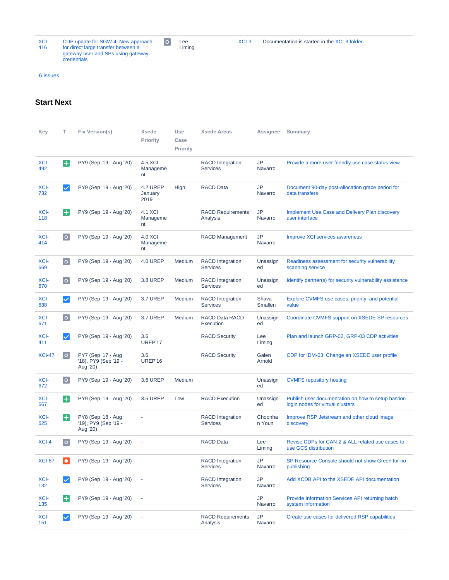| XCI- | CDP update for SGW-4: New approach                |
|------|---------------------------------------------------|
| 416  | for direct large transfer between a               |
|      | gateway user and SPs using gateway<br>credentials |

 $\boxed{\circ}$ Lee Liming

[6 issues](https://jira.xsede.org/secure/IssueNavigator.jspa?reset=true&jqlQuery=project+in+%28%22XSEDE+Cyberinfrastructure+Integration%22%29+and+%28%28status+%3D+Planned+and+issuetype+not+in+%28Meeting%29%29+or+%28issuetype+%3D+%22XCI+Capability+Delivery+Plan%22+and+status+%3D+%22In+Progress%22%29+%29+order+by+updated++++++&src=confmacro)

### **Start Next**

| Key           | т                  | <b>Fix Version(s)</b>                                  | <b>Xsede</b><br><b>Priority</b> | Use<br>Case<br><b>Priority</b> | <b>Xsede Areas</b>                         | Assignee             | <b>Summary</b>                                                                         |
|---------------|--------------------|--------------------------------------------------------|---------------------------------|--------------------------------|--------------------------------------------|----------------------|----------------------------------------------------------------------------------------|
| XCI-<br>492   | $\pm$              | PY9 (Sep '19 - Aug '20)                                | 4.5 XCI<br>Manageme<br>nt       |                                | <b>RACD</b> Integration<br><b>Services</b> | JP<br>Navarro        | Provide a more user friendly use case status view                                      |
| XCI-<br>732   | $\checkmark$       | PY9 (Sep '19 - Aug '20)                                | 4.2 UREP<br>January<br>2019     | High                           | <b>RACD Data</b>                           | <b>JP</b><br>Navarro | Document 90-day post-allocation grace period for<br>data transfers                     |
| XCI-<br>118   | H                  | PY9 (Sep '19 - Aug '20)                                | 4.1 XCI<br>Manageme<br>nt       |                                | <b>RACD Requirements</b><br>Analysis       | <b>JP</b><br>Navarro | <b>Implement Use Case and Delivery Plan discovery</b><br>user interface                |
| XCI-<br>414   | o                  | PY9 (Sep '19 - Aug '20)                                | 4.0 XCI<br>Manageme<br>nt       |                                | RACD Management                            | JP<br>Navarro        | Improve XCI services awareness                                                         |
| XCI-<br>669   | o                  | PY9 (Sep '19 - Aug '20)                                | 4.0 UREP                        | Medium                         | <b>RACD</b> Integration<br><b>Services</b> | Unassign<br>ed       | Readiness assessment for security vulnerability<br>scanning service                    |
| XCI-<br>670   | $\overline{\circ}$ | PY9 (Sep '19 - Aug '20)                                | <b>3.8 UREP</b>                 | Medium                         | <b>RACD</b> Integration<br><b>Services</b> | Unassign<br>ed       | Identify partner(s) for security vulnerability assistance                              |
| XCI-<br>638   | $\checkmark$       | PY9 (Sep '19 - Aug '20)                                | 3.7 UREP                        | Medium                         | <b>RACD</b> Integration<br><b>Services</b> | Shava<br>Smallen     | Explore CVMFS use cases, priority, and potential<br>value                              |
| XCI-<br>671   | $\circ$            | PY9 (Sep '19 - Aug '20)                                | 3.7 UREP                        | Medium                         | <b>RACD Data RACD</b><br>Execution         | Unassign<br>ed       | Coordinate CVMFS support on XSEDE SP resources                                         |
| XCI-<br>411   | $\checkmark$       | PY9 (Sep '19 - Aug '20)                                | 3.6<br>UREP'17                  |                                | <b>RACD Security</b>                       | Lee<br>Liming        | Plan and launch GRP-02, GRP-03 CDP activities                                          |
| <b>XCI-47</b> | $\circ$            | PY7 (Sep '17 - Aug<br>'18), PY9 (Sep '19 -<br>Aug '20) | 3.6<br>UREP'16                  |                                | <b>RACD Security</b>                       | Galen<br>Arnold      | CDP for IDM-03: Change an XSEDE user profile                                           |
| XCI-<br>672   | o                  | PY9 (Sep '19 - Aug '20)                                | <b>3.6 UREP</b>                 | Medium                         |                                            | Unassign<br>ed       | <b>CVMFS repository hosting</b>                                                        |
| XCI-<br>667   | $\pm$              | PY9 (Sep '19 - Aug '20)                                | <b>3.5 UREP</b>                 | Low                            | <b>RACD Execution</b>                      | Unassign<br>ed       | Publish user documentation on how to setup bastion<br>login nodes for virtual clusters |
| XCI-<br>625   | $\pm$              | PY8 (Sep '18 - Aug<br>'19), PY9 (Sep '19 -<br>Aug '20) |                                 |                                | <b>RACD</b> Integration<br><b>Services</b> | Choonha<br>n Youn    | Improve RSP Jetstream and other cloud image<br>discovery                               |
| XCI-4         | $\circ$            | PY9 (Sep '19 - Aug '20)                                | ÷,                              |                                | <b>RACD Data</b>                           | Lee<br>Liming        | Revise CDPs for CAN-2 & ALL related use cases to<br>use GCS distribution               |
| <b>XCI-87</b> | $\bullet$          | PY9 (Sep '19 - Aug '20)                                |                                 |                                | <b>RACD</b> Integration<br><b>Services</b> | JP<br>Navarro        | SP Resource Console should not show Green for no<br>publishing                         |
| XCI-<br>132   | $\checkmark$       | PY9 (Sep '19 - Aug '20)                                | ÷,                              |                                | <b>RACD</b> Integration<br><b>Services</b> | JP<br>Navarro        | Add XCDB API to the XSEDE API documentation                                            |
|               |                    |                                                        |                                 |                                |                                            |                      |                                                                                        |
| XCI-<br>135   | $\left  + \right $ | PY9 (Sep '19 - Aug '20)                                |                                 |                                |                                            | JP<br>Navarro        | Provide Information Services API returning batch<br>system information                 |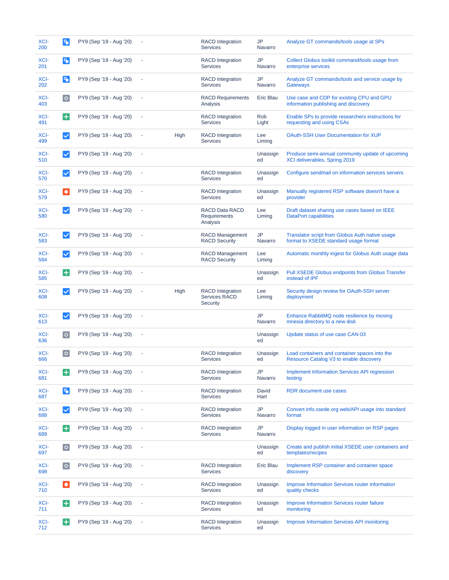| XCI-<br>200 | B                    | PY9 (Sep '19 - Aug '20) |                |      | <b>RACD</b> Integration<br><b>Services</b>                  | JP<br>Navarro        | Analyze GT commands/tools usage at SPs                                                   |
|-------------|----------------------|-------------------------|----------------|------|-------------------------------------------------------------|----------------------|------------------------------------------------------------------------------------------|
| XCI-<br>201 | P.                   | PY9 (Sep '19 - Aug '20) | ×,             |      | <b>RACD</b> Integration<br><b>Services</b>                  | JP<br>Navarro        | Collect Globus toolkit command/tools usage from<br>enterprise services                   |
| XCI-<br>202 | l٩.                  | PY9 (Sep '19 - Aug '20) | ÷,             |      | <b>RACD</b> Integration<br><b>Services</b>                  | JP<br>Navarro        | Analyze GT commands/tools and service usage by<br><b>Gateways</b>                        |
| XCI-<br>403 | o                    | PY9 (Sep '19 - Aug '20) | ÷,             |      | <b>RACD Requirements</b><br>Analysis                        | Eric Blau            | Use case and CDP for existing CPU and GPU<br>information publishing and discovery        |
| XCI-<br>491 | $\left  + \right $   | PY9 (Sep '19 - Aug '20) | ÷,             |      | <b>RACD</b> Integration<br><b>Services</b>                  | Rob<br>Light         | Enable SPs to provide researchers instructions for<br>requesting and using CSAs          |
| XCI-<br>499 | $\blacktriangledown$ | PY9 (Sep '19 - Aug '20) | ÷,             | High | <b>RACD</b> Integration<br><b>Services</b>                  | Lee<br>Liming        | <b>OAuth-SSH User Documentation for XUP</b>                                              |
| XCI-<br>510 | $\checkmark$         | PY9 (Sep '19 - Aug '20) |                |      |                                                             | Unassign<br>ed       | Produce semi-annual community update of upcoming<br>XCI deliverables, Spring 2019        |
| XCI-<br>570 | $\checkmark$         | PY9 (Sep '19 - Aug '20) | ×,             |      | <b>RACD</b> Integration<br><b>Services</b>                  | Unassign<br>ed       | Configure sendmail on information services servers                                       |
| XCI-<br>579 | $\bullet$            | PY9 (Sep '19 - Aug '20) | ×,             |      | <b>RACD</b> Integration<br><b>Services</b>                  | Unassign<br>ed       | Manually registered RSP software doesn't have a<br>provider                              |
| XCI-<br>580 | $\checkmark$         | PY9 (Sep '19 - Aug '20) | ×,             |      | <b>RACD Data RACD</b><br>Requirements<br>Analysis           | Lee<br>Liming        | Draft dataset sharing use cases based on IEEE<br>DataPort capabilities                   |
| XCI-<br>583 | $\checkmark$         | PY9 (Sep '19 - Aug '20) |                |      | <b>RACD Management</b><br><b>RACD Security</b>              | JP<br>Navarro        | Translator script from Globus Auth native usage<br>format to XSEDE standard usage format |
| XCI-<br>584 | $\checkmark$         | PY9 (Sep '19 - Aug '20) | ×,             |      | <b>RACD Management</b><br><b>RACD Security</b>              | Lee<br>Liming        | Automatic monthly ingest for Globus Auth usage data                                      |
| XCI-<br>585 | Ŧ                    | PY9 (Sep '19 - Aug '20) | ×,             |      |                                                             | Unassign<br>ed       | Pull XSEDE Globus endpoints from Globus Transfer<br>instead of IPF                       |
|             |                      |                         |                |      |                                                             |                      |                                                                                          |
| XCI-<br>608 | $\checkmark$         | PY9 (Sep '19 - Aug '20) |                | High | <b>RACD</b> Integration<br><b>Services RACD</b><br>Security | Lee<br>Liming        | Security design review for OAuth-SSH server<br>deployment                                |
| XCI-<br>613 | $\checkmark$         | PY9 (Sep '19 - Aug '20) | ×,             |      |                                                             | <b>JP</b><br>Navarro | Enhance RabbitMQ node resilience by moving<br>mnesia directory to a new disk             |
| XCI-<br>636 | o                    | PY9 (Sep '19 - Aug '20) |                |      |                                                             | Unassign<br>ed       | Update status of use case CAN-03                                                         |
| XCI-<br>666 | $\circ$              | PY9 (Sep '19 - Aug '20) | ×,             |      | <b>RACD</b> Integration<br><b>Services</b>                  | Unassign<br>ed       | Load containers and container spaces into the<br>Resource Catalog V3 to enable discovery |
| XCI-<br>681 | $\pm$                | PY9 (Sep '19 - Aug '20) | $\sim$         |      | <b>RACD</b> Integration<br><b>Services</b>                  | JP<br>Navarro        | <b>Implement Information Services API regression</b><br>testing                          |
| XCI-<br>687 | l٩.                  | PY9 (Sep '19 - Aug '20) | ×,             |      | <b>RACD</b> Integration<br><b>Services</b>                  | David<br>Hart        | RDR document use cases                                                                   |
| XCI-<br>688 | $\checkmark$         | PY9 (Sep '19 - Aug '20) |                |      | <b>RACD</b> Integration<br><b>Services</b>                  | JP<br>Navarro        | Convert info.xsede.org web/API usage into standard<br>format                             |
| XCI-<br>689 | B                    | PY9 (Sep '19 - Aug '20) | ×,             |      | <b>RACD</b> Integration<br><b>Services</b>                  | JP<br>Navarro        | Display logged in user information on RSP pages                                          |
| XCI-<br>697 | o                    | PY9 (Sep '19 - Aug '20) | $\blacksquare$ |      |                                                             | Unassign<br>ed       | Create and publish initial XSEDE user containers and<br>templates/recipes                |
| XCI-<br>698 | $\circ$              | PY9 (Sep '19 - Aug '20) | ä,             |      | <b>RACD</b> Integration<br><b>Services</b>                  | Eric Blau            | Implement RSP container and container space<br>discovery                                 |
| XCI-<br>710 | $\bullet$            | PY9 (Sep '19 - Aug '20) | ÷,             |      | <b>RACD</b> Integration<br><b>Services</b>                  | Unassign<br>ed       | Improve Information Services router information<br>quality checks                        |
| XCI-<br>711 | $\pm$                | PY9 (Sep '19 - Aug '20) |                |      | <b>RACD</b> Integration<br><b>Services</b>                  | Unassign<br>ed       | Improve Information Services router failure<br>monitoring                                |